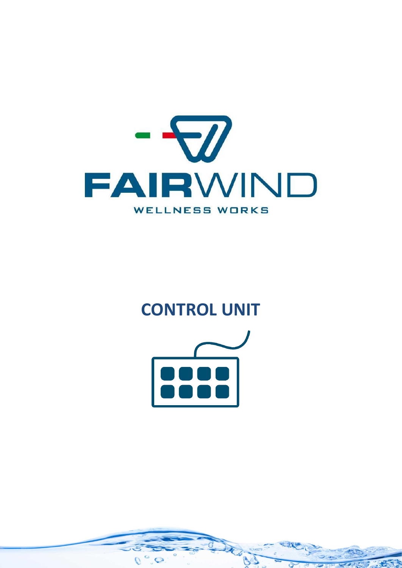

# **CONTROL UNIT**

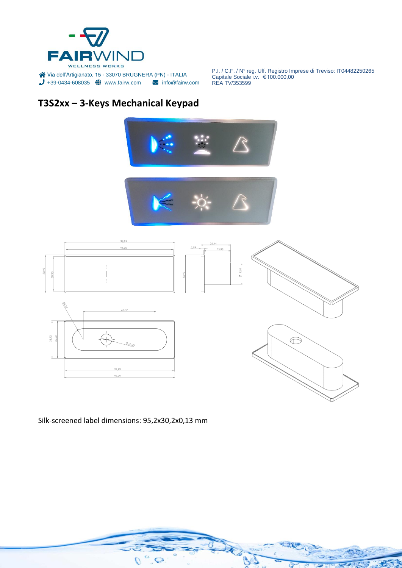

## **T3S2xx – 3-Keys Mechanical Keypad**







Silk-screened label dimensions: 95,2x30,2x0,13 mm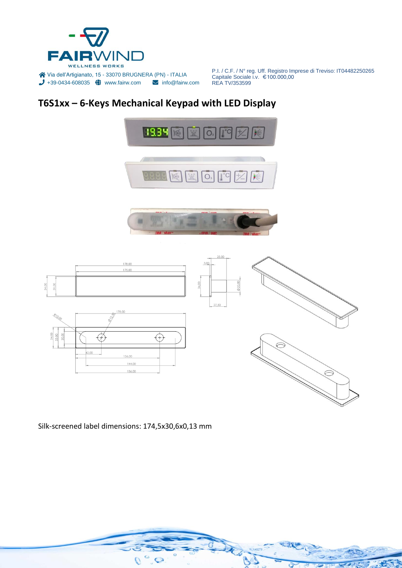

## **T6S1xx – 6-Keys Mechanical Keypad with LED Display**







Silk-screened label dimensions: 174,5x30,6x0,13 mm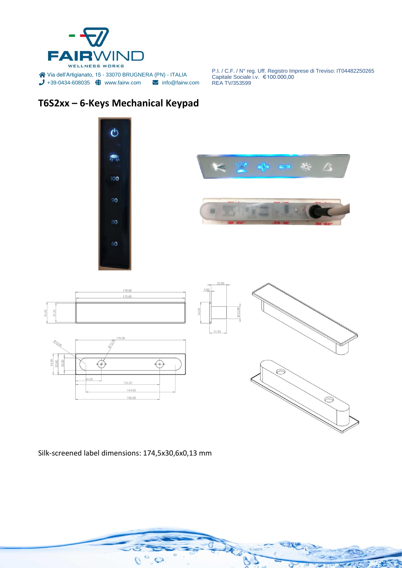

## **T6S2xx – 6-Keys Mechanical Keypad**



 $\overrightarrow{A}$ 

Silk-screened label dimensions: 174,5x30,6x0,13 mm

 $Q^{\circ}$ 

136,00

 $11,00$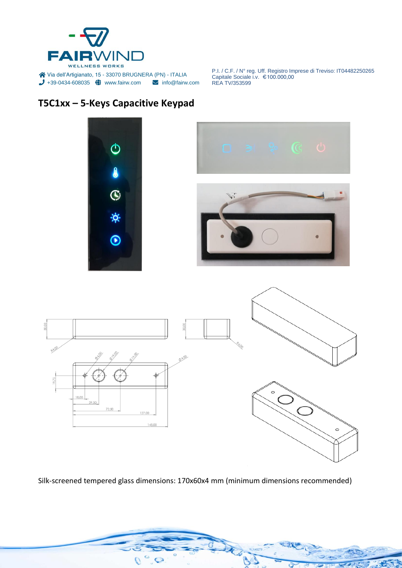

#### **T5C1xx – 5-Keys Capacitive Keypad**

30,00



Silk-screened tempered glass dimensions: 170x60x4 mm (minimum dimensions recommended)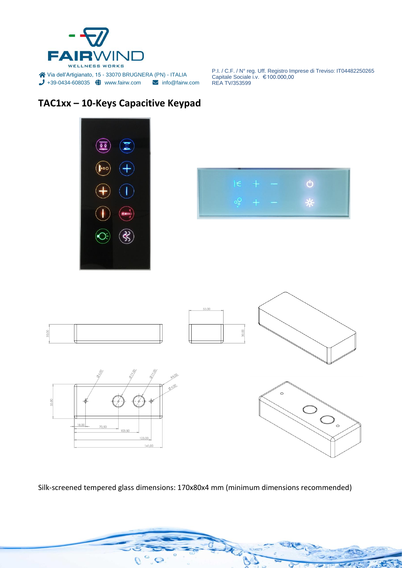

#### **TAC1xx – 10-Keys Capacitive Keypad**







Silk-screened tempered glass dimensions: 170x80x4 mm (minimum dimensions recommended)

 $\int$  $\circlearrowright$  $\overline{Q}$ 

 $\overrightarrow{A}$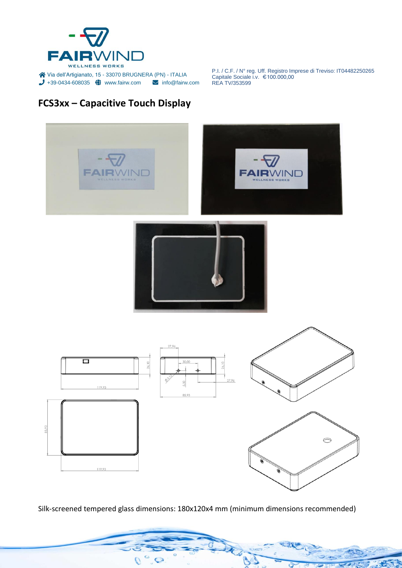

## **FCS3xx – Capacitive Touch Display**



Silk-screened tempered glass dimensions: 180x120x4 mm (minimum dimensions recommended)

 $\circ$  $\circ$  $\overline{Q}$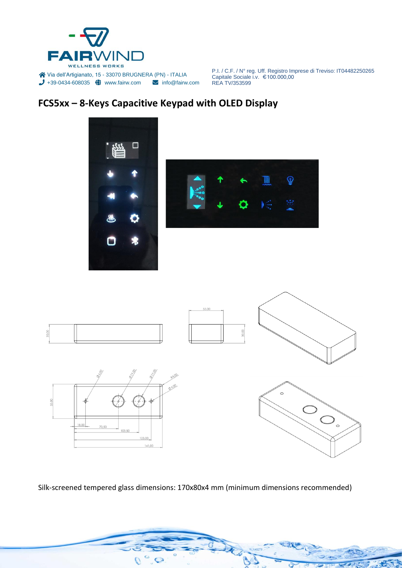

### **FCS5xx – 8-Keys Capacitive Keypad with OLED Display**



Silk-screened tempered glass dimensions: 170x80x4 mm (minimum dimensions recommended)

 $\overline{O}$  $\circ$  $\overline{Q}$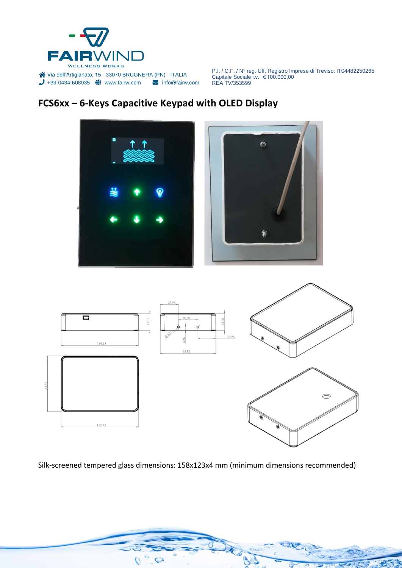

### **FCS6xx – 6-Keys Capacitive Keypad with OLED Display**





Silk-screened tempered glass dimensions: 158x123x4 mm (minimum dimensions recommended)

 $\overline{O}$ 

 $\bigcirc$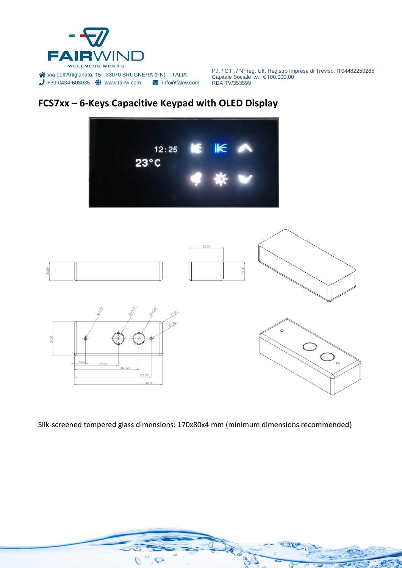

## **FCS7xx – 6-Keys Capacitive Keypad with OLED Display**



Silk-screened tempered glass dimensions: 170x80x4 mm (minimum dimensions recommended)